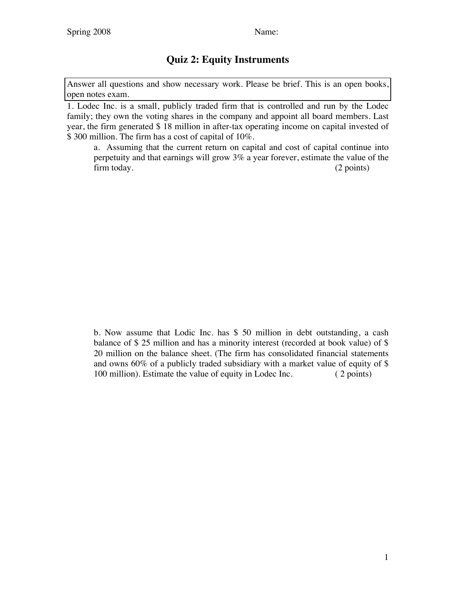## **Quiz 2: Equity Instruments**

Answer all questions and show necessary work. Please be brief. This is an open books, open notes exam.

1. Lodec Inc. is a small, publicly traded firm that is controlled and run by the Lodec family; they own the voting shares in the company and appoint all board members. Last year, the firm generated \$ 18 million in after-tax operating income on capital invested of \$ 300 million. The firm has a cost of capital of 10%.

a. Assuming that the current return on capital and cost of capital continue into perpetuity and that earnings will grow 3% a year forever, estimate the value of the firm today. (2 points)

b. Now assume that Lodic Inc. has \$ 50 million in debt outstanding, a cash balance of \$ 25 million and has a minority interest (recorded at book value) of \$ 20 million on the balance sheet. (The firm has consolidated financial statements and owns 60% of a publicly traded subsidiary with a market value of equity of \$ 100 million). Estimate the value of equity in Lodec Inc. (2 points)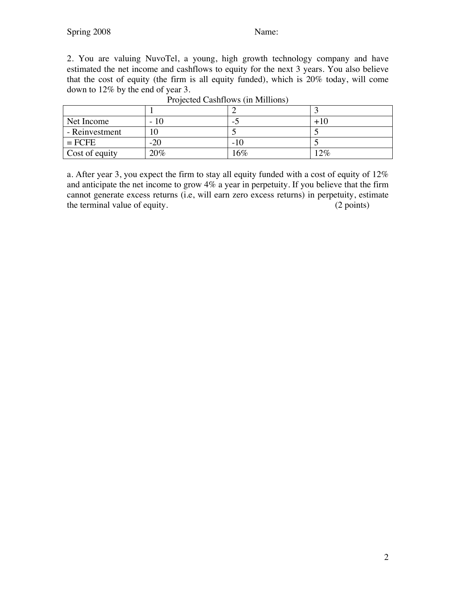2. You are valuing NuvoTel, a young, high growth technology company and have estimated the net income and cashflows to equity for the next 3 years. You also believe that the cost of equity (the firm is all equity funded), which is 20% today, will come down to 12% by the end of year 3.

| Net Income     | -10<br>$\overline{\phantom{0}}$ | $\overline{\phantom{0}}$ |       |
|----------------|---------------------------------|--------------------------|-------|
| - Reinvestment | 10                              |                          |       |
| $=$ FCFE       | $-20$                           | $-10$                    |       |
| Cost of equity | 20%                             | 16%                      | $2\%$ |

| Projected Cashflows (in Millions) |  |
|-----------------------------------|--|
|                                   |  |
|                                   |  |
|                                   |  |

a. After year 3, you expect the firm to stay all equity funded with a cost of equity of 12% and anticipate the net income to grow 4% a year in perpetuity. If you believe that the firm cannot generate excess returns (i.e, will earn zero excess returns) in perpetuity, estimate the terminal value of equity. (2 points)